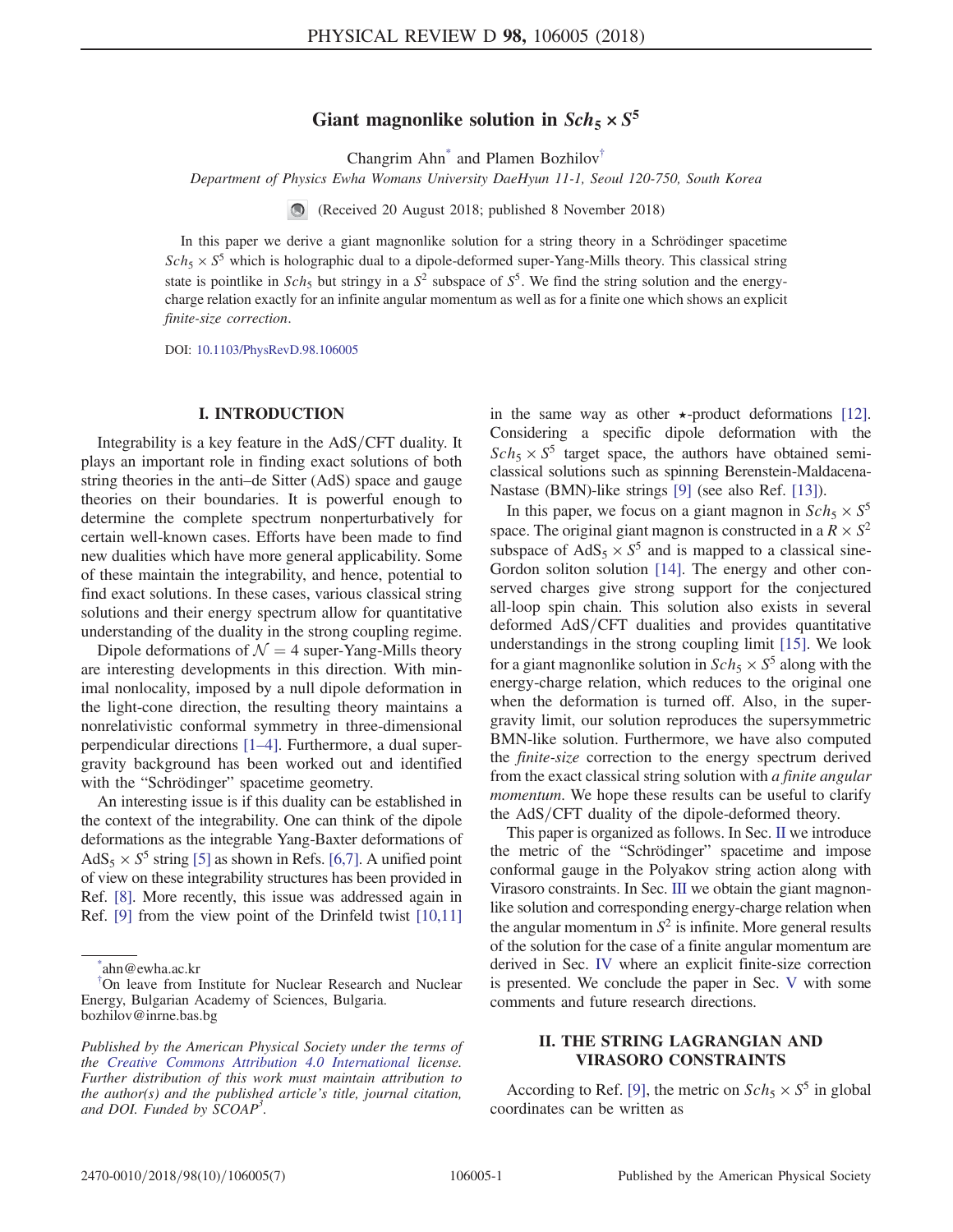# Giant magnonlike solution in  $Sch_5 \times S^5$

Changrim Ah[n\\*](#page-0-0) and Plamen Bozhilov[†](#page-0-1)

<span id="page-0-3"></span>Department of Physics Ewha Womans University DaeHyun 11-1, Seoul 120-750, South Korea

(Received 20 August 2018; published 8 November 2018)

In this paper we derive a giant magnonlike solution for a string theory in a Schrödinger spacetime  $Sch_5 \times S^5$  which is holographic dual to a dipole-deformed super-Yang-Mills theory. This classical string state is pointlike in  $Sch_5$  but stringy in a  $S^2$  subspace of  $S^5$ . We find the string solution and the energycharge relation exactly for an infinite angular momentum as well as for a finite one which shows an explicit finite-size correction.

DOI: [10.1103/PhysRevD.98.106005](https://doi.org/10.1103/PhysRevD.98.106005)

### I. INTRODUCTION

Integrability is a key feature in the AdS/CFT duality. It plays an important role in finding exact solutions of both string theories in the anti–de Sitter (AdS) space and gauge theories on their boundaries. It is powerful enough to determine the complete spectrum nonperturbatively for certain well-known cases. Efforts have been made to find new dualities which have more general applicability. Some of these maintain the integrability, and hence, potential to find exact solutions. In these cases, various classical string solutions and their energy spectrum allow for quantitative understanding of the duality in the strong coupling regime.

Dipole deformations of  $\mathcal{N} = 4$  super-Yang-Mills theory are interesting developments in this direction. With minimal nonlocality, imposed by a null dipole deformation in the light-cone direction, the resulting theory maintains a nonrelativistic conformal symmetry in three-dimensional perpendicular directions [1–[4\].](#page-5-0) Furthermore, a dual supergravity background has been worked out and identified with the "Schrödinger" spacetime geometry.

An interesting issue is if this duality can be established in the context of the integrability. One can think of the dipole deformations as the integrable Yang-Baxter deformations of  $AdS_5 \times S^5$  string [\[5\]](#page-5-1) as shown in Refs. [\[6,7\].](#page-5-2) A unified point of view on these integrability structures has been provided in Ref. [\[8\].](#page-5-3) More recently, this issue was addressed again in Ref. [\[9\]](#page-6-0) from the view point of the Drinfeld twist [\[10,11\]](#page-6-1) in the same way as other  $\star$ -product deformations [\[12\]](#page-6-2). Considering a specific dipole deformation with the  $Sch_5 \times S^5$  target space, the authors have obtained semiclassical solutions such as spinning Berenstein-Maldacena-Nastase (BMN)-like strings [\[9\]](#page-6-0) (see also Ref. [\[13\]\)](#page-6-3).

In this paper, we focus on a giant magnon in  $Sch_5 \times S^5$ space. The original giant magnon is constructed in a  $R \times S^2$ subspace of  $AdS_5 \times S^5$  and is mapped to a classical sine-Gordon soliton solution [\[14\]](#page-6-4). The energy and other conserved charges give strong support for the conjectured all-loop spin chain. This solution also exists in several deformed  $AdS/CFT$  dualities and provides quantitative understandings in the strong coupling limit [\[15\]](#page-6-5). We look for a giant magnonlike solution in  $Sch_5 \times S^5$  along with the energy-charge relation, which reduces to the original one when the deformation is turned off. Also, in the supergravity limit, our solution reproduces the supersymmetric BMN-like solution. Furthermore, we have also computed the finite-size correction to the energy spectrum derived from the exact classical string solution with a finite angular momentum. We hope these results can be useful to clarify the  $AdS/CFT$  duality of the dipole-deformed theory.

This paper is organized as follows. In Sec. [II](#page-0-2) we introduce the metric of the "Schrödinger" spacetime and impose conformal gauge in the Polyakov string action along with Virasoro constraints. In Sec. [III](#page-2-0) we obtain the giant magnonlike solution and corresponding energy-charge relation when the angular momentum in  $S^2$  is infinite. More general results of the solution for the case of a finite angular momentum are derived in Sec. [IV](#page-3-0) where an explicit finite-size correction is presented. We conclude the paper in Sec. [V](#page-5-4) with some comments and future research directions.

# <span id="page-0-2"></span>II. THE STRING LAGRANGIAN AND VIRASORO CONSTRAINTS

According to Ref. [\[9\]](#page-6-0), the metric on  $Sch_5 \times S^5$  in global coordinates can be written as

<span id="page-0-0"></span>[<sup>\\*</sup>](#page-0-3) ahn@ewha.ac.kr

<span id="page-0-1"></span>[<sup>†</sup>](#page-0-3) On leave from Institute for Nuclear Research and Nuclear Energy, Bulgarian Academy of Sciences, Bulgaria. bozhilov@inrne.bas.bg

Published by the American Physical Society under the terms of the [Creative Commons Attribution 4.0 International](https://creativecommons.org/licenses/by/4.0/) license. Further distribution of this work must maintain attribution to the author(s) and the published article's title, journal citation, and DOI. Funded by SCOAP<sup>3</sup>.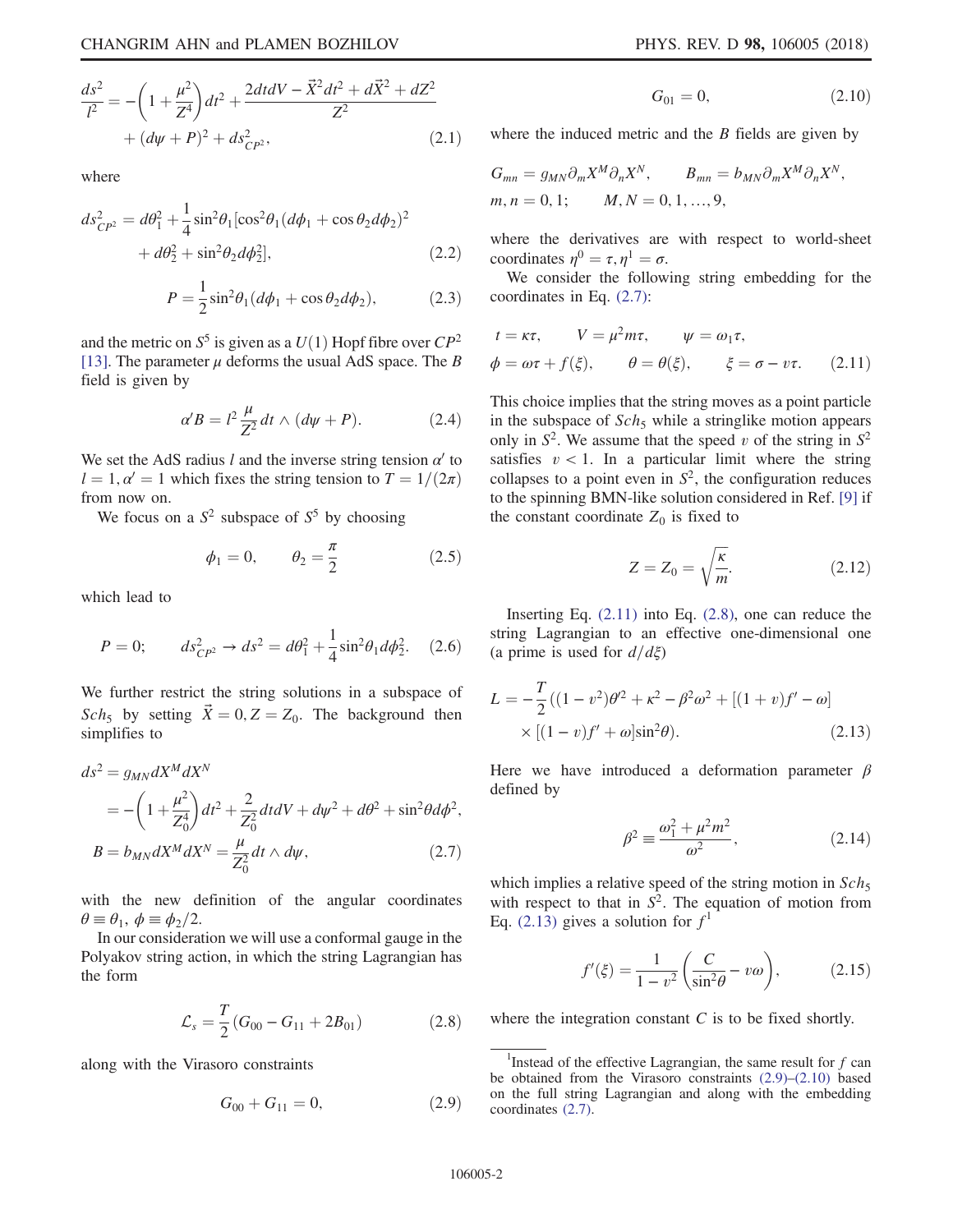$$
\frac{ds^2}{l^2} = -\left(1 + \frac{\mu^2}{Z^4}\right)dt^2 + \frac{2dt dV - \vec{X}^2 dt^2 + d\vec{X}^2 + dZ^2}{Z^2} + (d\psi + P)^2 + ds_{CP^2}^2,
$$
\n(2.1)

where

$$
ds_{CP^2}^2 = d\theta_1^2 + \frac{1}{4}\sin^2\theta_1[\cos^2\theta_1(d\phi_1 + \cos\theta_2 d\phi_2)^2 + d\theta_2^2 + \sin^2\theta_2 d\phi_2^2],
$$
 (2.2)

$$
P = \frac{1}{2}\sin^2\theta_1(d\phi_1 + \cos\theta_2 d\phi_2),\tag{2.3}
$$

and the metric on  $S^5$  is given as a  $U(1)$  Hopf fibre over  $\mathbb{CP}^2$ [\[13\]](#page-6-3). The parameter  $\mu$  deforms the usual AdS space. The B field is given by

$$
\alpha' B = l^2 \frac{\mu}{Z^2} dt \wedge (d\psi + P). \tag{2.4}
$$

We set the AdS radius l and the inverse string tension  $\alpha'$  to  $l = 1, \alpha' = 1$  which fixes the string tension to  $T = 1/(2\pi)$ from now on.

<span id="page-1-8"></span>We focus on a  $S^2$  subspace of  $S^5$  by choosing

$$
\phi_1 = 0, \qquad \theta_2 = \frac{\pi}{2}
$$
\n(2.5)

which lead to

$$
P = 0; \qquad ds_{CP^2}^2 \to ds^2 = d\theta_1^2 + \frac{1}{4}\sin^2\theta_1 d\phi_2^2. \tag{2.6}
$$

<span id="page-1-0"></span>We further restrict the string solutions in a subspace of Sch<sub>5</sub> by setting  $\vec{X} = 0, Z = Z_0$ . The background then simplifies to

$$
ds^{2} = g_{MN}dX^{M}dX^{N}
$$
  
=  $-\left(1 + \frac{\mu^{2}}{Z_{0}^{4}}\right)dt^{2} + \frac{2}{Z_{0}^{2}}dtdV + d\psi^{2} + d\theta^{2} + \sin^{2}\theta d\phi^{2},$   

$$
B = b_{MN}dX^{M}dX^{N} = \frac{\mu}{Z_{0}^{2}}dt \wedge d\psi,
$$
 (2.7)

with the new definition of the angular coordinates  $\theta \equiv \theta_1, \phi \equiv \phi_2/2.$ 

<span id="page-1-2"></span>In our consideration we will use a conformal gauge in the Polyakov string action, in which the string Lagrangian has the form

$$
\mathcal{L}_s = \frac{T}{2} (G_{00} - G_{11} + 2B_{01})
$$
\n(2.8)

<span id="page-1-4"></span>along with the Virasoro constraints

$$
G_{00} + G_{11} = 0, \t\t(2.9)
$$

$$
G_{01} = 0, \t\t(2.10)
$$

<span id="page-1-5"></span>where the induced metric and the  $B$  fields are given by

$$
G_{mn} = g_{MN}\partial_m X^M \partial_n X^N, \qquad B_{mn} = b_{MN}\partial_m X^M \partial_n X^N,
$$
  

$$
m, n = 0, 1; \qquad M, N = 0, 1, ..., 9,
$$

where the derivatives are with respect to world-sheet coordinates  $\eta^0 = \tau, \eta^1 = \sigma$ .

<span id="page-1-1"></span>We consider the following string embedding for the coordinates in Eq. [\(2.7\):](#page-1-0)

$$
t = \kappa \tau, \qquad V = \mu^2 m \tau, \qquad \psi = \omega_1 \tau,
$$
  

$$
\phi = \omega \tau + f(\xi), \qquad \theta = \theta(\xi), \qquad \xi = \sigma - \nu \tau. \qquad (2.11)
$$

This choice implies that the string moves as a point particle in the subspace of  $Sch_5$  while a stringlike motion appears only in  $S^2$ . We assume that the speed v of the string in  $S^2$ satisfies  $v < 1$ . In a particular limit where the string collapses to a point even in  $S^2$ , the configuration reduces to the spinning BMN-like solution considered in Ref. [\[9\]](#page-6-0) if the constant coordinate  $Z_0$  is fixed to

$$
Z = Z_0 = \sqrt{\frac{\kappa}{m}}.\t(2.12)
$$

<span id="page-1-3"></span>Inserting Eq.  $(2.11)$  into Eq.  $(2.8)$ , one can reduce the string Lagrangian to an effective one-dimensional one (a prime is used for  $d/d\xi$ )

$$
L = -\frac{T}{2}((1 - v^2)\theta'^2 + \kappa^2 - \beta^2\omega^2 + [(1 + v)f' - \omega] \times [(1 - v)f' + \omega]\sin^2\theta).
$$
 (2.13)

<span id="page-1-7"></span>Here we have introduced a deformation parameter  $\beta$ defined by

$$
\beta^2 = \frac{\omega_1^2 + \mu^2 m^2}{\omega^2},
$$
\n(2.14)

<span id="page-1-6"></span>which implies a relative speed of the string motion in  $Sch<sub>5</sub>$ with respect to that in  $S^2$ . The equation of motion from Eq. [\(2.13\)](#page-1-3) gives a solution for  $f<sup>1</sup>$ 

$$
f'(\xi) = \frac{1}{1 - v^2} \left( \frac{C}{\sin^2 \theta} - v\omega \right), \tag{2.15}
$$

where the integration constant  $C$  is to be fixed shortly.

<sup>&</sup>lt;sup>1</sup>Instead of the effective Lagrangian, the same result for  $f$  can be obtained from the Virasoro constraints [\(2.9\)](#page-1-4)–[\(2.10\)](#page-1-5) based on the full string Lagrangian and along with the embedding coordinates [\(2.7\).](#page-1-0)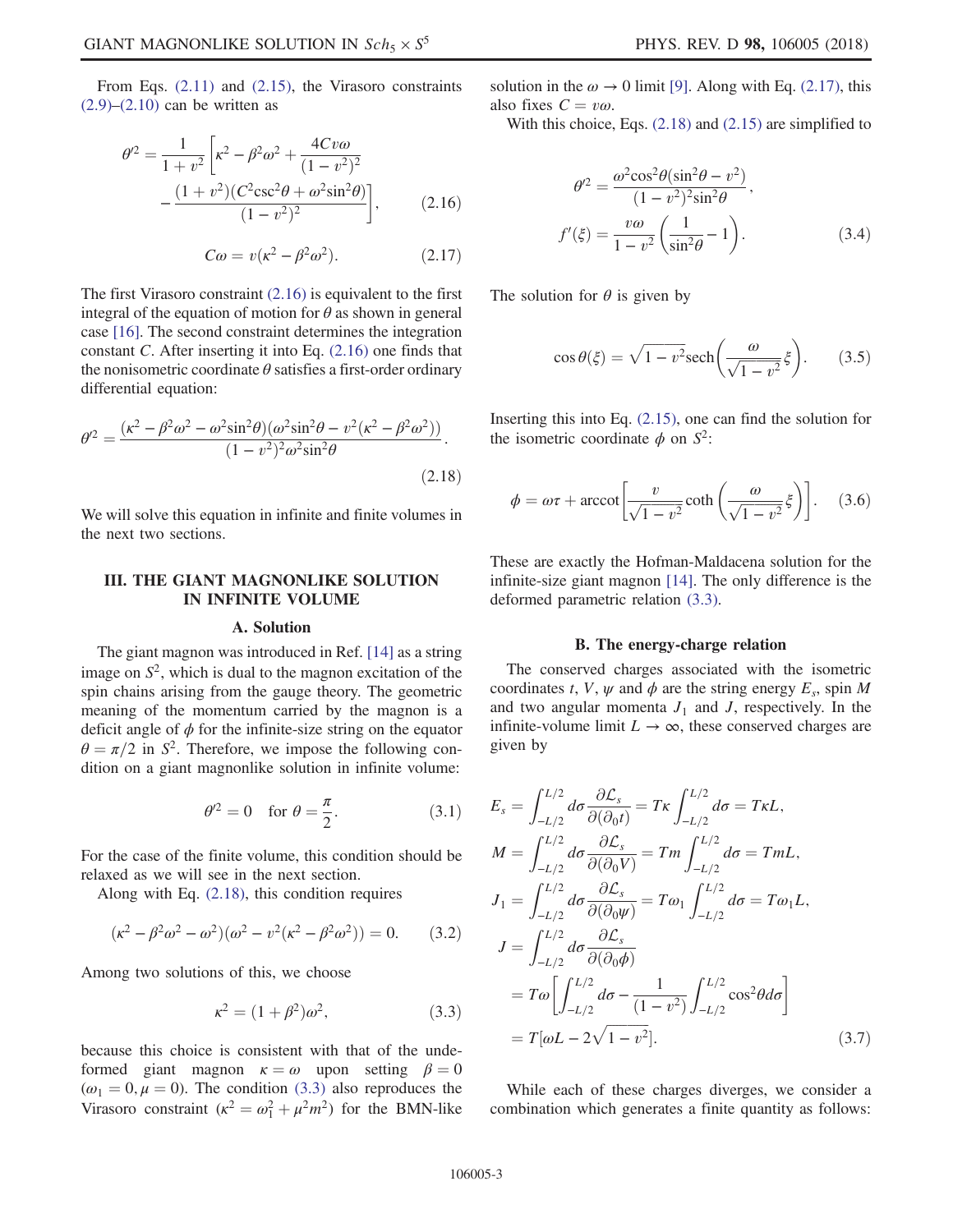<span id="page-2-1"></span>
$$
\theta^2 = \frac{1}{1+v^2} \left[ \kappa^2 - \beta^2 \omega^2 + \frac{4Cv\omega}{(1-v^2)^2} - \frac{(1+v^2)(C^2 \csc^2 \theta + \omega^2 \sin^2 \theta)}{(1-v^2)^2} \right],
$$
(2.16)

$$
C\omega = v(\kappa^2 - \beta^2 \omega^2). \tag{2.17}
$$

<span id="page-2-4"></span>The first Virasoro constraint [\(2.16\)](#page-2-1) is equivalent to the first integral of the equation of motion for  $\theta$  as shown in general case [\[16\].](#page-6-6) The second constraint determines the integration constant C. After inserting it into Eq. [\(2.16\)](#page-2-1) one finds that the nonisometric coordinate  $\theta$  satisfies a first-order ordinary differential equation:

<span id="page-2-2"></span>
$$
\theta^2 = \frac{(\kappa^2 - \beta^2 \omega^2 - \omega^2 \sin^2 \theta)(\omega^2 \sin^2 \theta - v^2 (\kappa^2 - \beta^2 \omega^2))}{(1 - v^2)^2 \omega^2 \sin^2 \theta}.
$$
\n(2.18)

We will solve this equation in infinite and finite volumes in the next two sections.

## <span id="page-2-0"></span>III. THE GIANT MAGNONLIKE SOLUTION IN INFINITE VOLUME

#### A. Solution

<span id="page-2-5"></span>The giant magnon was introduced in Ref. [\[14\]](#page-6-4) as a string image on  $S^2$ , which is dual to the magnon excitation of the spin chains arising from the gauge theory. The geometric meaning of the momentum carried by the magnon is a deficit angle of  $\phi$  for the infinite-size string on the equator  $\theta = \pi/2$  in S<sup>2</sup>. Therefore, we impose the following condition on a giant magnonlike solution in infinite volume:

$$
\theta^2 = 0 \quad \text{for } \theta = \frac{\pi}{2}.\tag{3.1}
$$

For the case of the finite volume, this condition should be relaxed as we will see in the next section.

Along with Eq. [\(2.18\)](#page-2-2), this condition requires

<span id="page-2-3"></span>
$$
(\kappa^2 - \beta^2 \omega^2 - \omega^2)(\omega^2 - v^2(\kappa^2 - \beta^2 \omega^2)) = 0.
$$
 (3.2)

Among two solutions of this, we choose

$$
\kappa^2 = (1 + \beta^2)\omega^2, \tag{3.3}
$$

because this choice is consistent with that of the undeformed giant magnon  $\kappa = \omega$  upon setting  $\beta = 0$  $(\omega_1 = 0, \mu = 0)$ . The condition [\(3.3\)](#page-2-3) also reproduces the Virasoro constraint  $(\kappa^2 = \omega_1^2 + \mu^2 m^2)$  for the BMN-like solution in the  $\omega \rightarrow 0$  limit [\[9\]](#page-6-0). Along with Eq. [\(2.17\),](#page-2-4) this also fixes  $C = v\omega$ .

With this choice, Eqs. [\(2.18\)](#page-2-2) and [\(2.15\)](#page-1-6) are simplified to

$$
\theta^2 = \frac{\omega^2 \cos^2 \theta (\sin^2 \theta - v^2)}{(1 - v^2)^2 \sin^2 \theta},
$$

$$
f'(\xi) = \frac{v\omega}{1 - v^2} \left(\frac{1}{\sin^2 \theta} - 1\right).
$$
(3.4)

The solution for  $\theta$  is given by

$$
\cos \theta(\xi) = \sqrt{1 - v^2} \text{sech}\left(\frac{\omega}{\sqrt{1 - v^2}} \xi\right). \tag{3.5}
$$

Inserting this into Eq. [\(2.15\),](#page-1-6) one can find the solution for the isometric coordinate  $\phi$  on  $S^2$ :

$$
\phi = \omega \tau + \operatorname{arccot} \left[ \frac{v}{\sqrt{1 - v^2}} \coth \left( \frac{\omega}{\sqrt{1 - v^2}} \xi \right) \right]. \tag{3.6}
$$

These are exactly the Hofman-Maldacena solution for the infinite-size giant magnon [\[14\]](#page-6-4). The only difference is the deformed parametric relation [\(3.3\)](#page-2-3).

#### B. The energy-charge relation

<span id="page-2-6"></span>The conserved charges associated with the isometric coordinates t, V,  $\psi$  and  $\phi$  are the string energy  $E_s$ , spin M and two angular momenta  $J_1$  and  $J$ , respectively. In the infinite-volume limit  $L \to \infty$ , these conserved charges are given by

$$
E_s = \int_{-L/2}^{L/2} d\sigma \frac{\partial \mathcal{L}_s}{\partial(\partial_0 t)} = T\kappa \int_{-L/2}^{L/2} d\sigma = T\kappa L,
$$
  
\n
$$
M = \int_{-L/2}^{L/2} d\sigma \frac{\partial \mathcal{L}_s}{\partial(\partial_0 V)} = Tm \int_{-L/2}^{L/2} d\sigma = TmL,
$$
  
\n
$$
J_1 = \int_{-L/2}^{L/2} d\sigma \frac{\partial \mathcal{L}_s}{\partial(\partial_0 \psi)} = T\omega_1 \int_{-L/2}^{L/2} d\sigma = T\omega_1 L,
$$
  
\n
$$
J = \int_{-L/2}^{L/2} d\sigma \frac{\partial \mathcal{L}_s}{\partial(\partial_0 \phi)}
$$
  
\n
$$
= T\omega \left[ \int_{-L/2}^{L/2} d\sigma - \frac{1}{(1 - v^2)} \int_{-L/2}^{L/2} \cos^2 \theta d\sigma \right]
$$
  
\n
$$
= T[\omega L - 2\sqrt{1 - v^2}].
$$
\n(3.7)

<span id="page-2-7"></span>While each of these charges diverges, we consider a combination which generates a finite quantity as follows: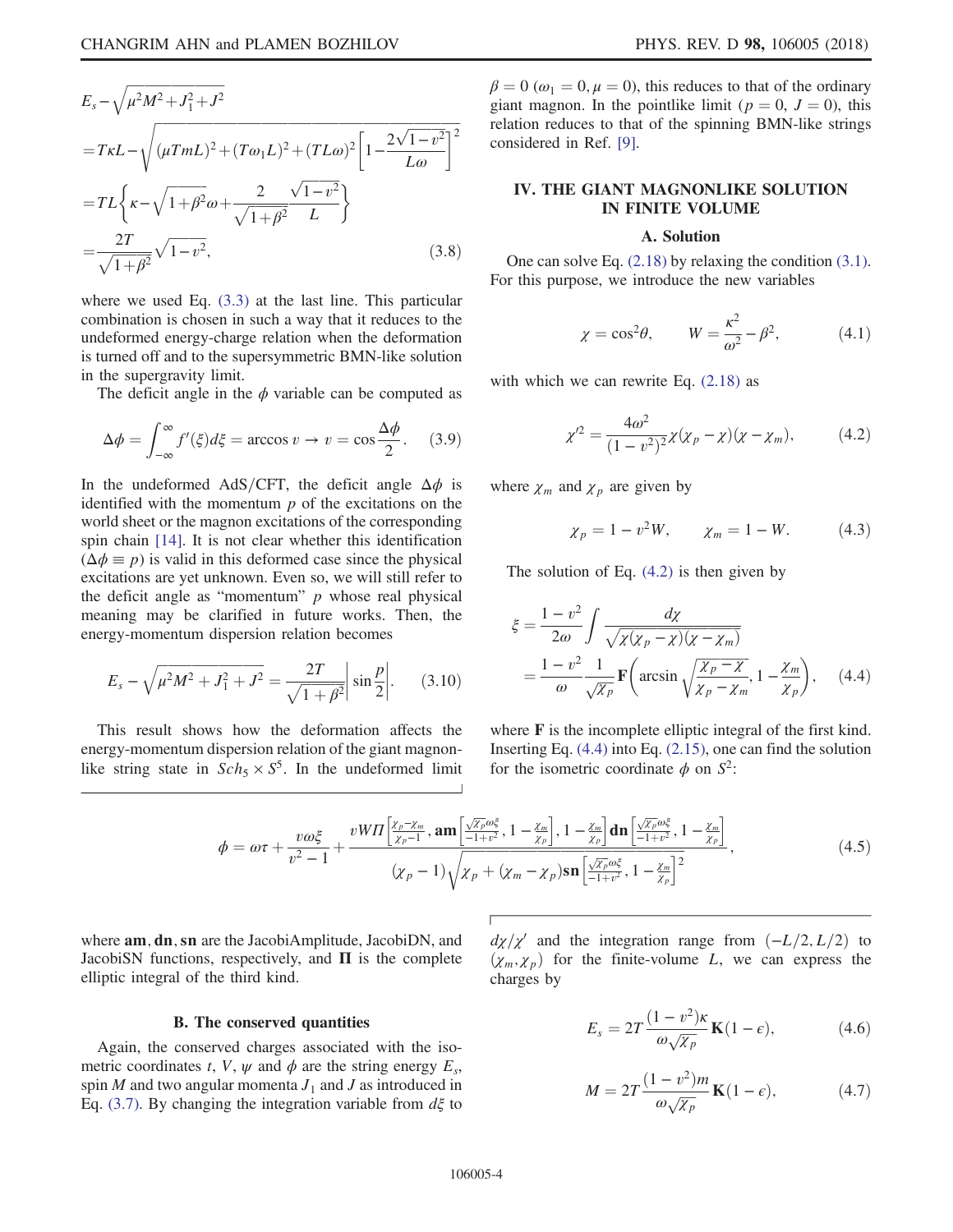$$
E_s - \sqrt{\mu^2 M^2 + J_1^2 + J^2}
$$
  
=  $T \kappa L - \sqrt{(\mu T m L)^2 + (T \omega_1 L)^2 + (T L \omega)^2 \left[1 - \frac{2\sqrt{1 - v^2}}{L \omega}\right]^2}$   
=  $T L \left\{ \kappa - \sqrt{1 + \beta^2} \omega + \frac{2}{\sqrt{1 + \beta^2}} \frac{\sqrt{1 - v^2}}{L} \right\}$   
=  $\frac{2T}{\sqrt{1 + \beta^2}} \sqrt{1 - v^2}$ , (3.8)

where we used Eq. [\(3.3\)](#page-2-3) at the last line. This particular combination is chosen in such a way that it reduces to the undeformed energy-charge relation when the deformation is turned off and to the supersymmetric BMN-like solution in the supergravity limit.

The deficit angle in the  $\phi$  variable can be computed as

$$
\Delta \phi = \int_{-\infty}^{\infty} f'(\xi) d\xi = \arccos v \to v = \cos \frac{\Delta \phi}{2}.
$$
 (3.9)

In the undeformed AdS/CFT, the deficit angle  $\Delta\phi$  is identified with the momentum  $p$  of the excitations on the world sheet or the magnon excitations of the corresponding spin chain [\[14\]](#page-6-4). It is not clear whether this identification  $(\Delta \phi \equiv p)$  is valid in this deformed case since the physical excitations are yet unknown. Even so, we will still refer to the deficit angle as "momentum"  $p$  whose real physical meaning may be clarified in future works. Then, the energy-momentum dispersion relation becomes

<span id="page-3-5"></span>
$$
E_s - \sqrt{\mu^2 M^2 + J_1^2 + J^2} = \frac{2T}{\sqrt{1 + \beta^2}} \left| \sin \frac{p}{2} \right|.
$$
 (3.10)

This result shows how the deformation affects the energy-momentum dispersion relation of the giant magnonlike string state in  $Sch_5 \times S^5$ . In the undeformed limit  $\beta = 0 \ (\omega_1 = 0, \mu = 0)$ , this reduces to that of the ordinary giant magnon. In the pointlike limit ( $p = 0$ ,  $J = 0$ ), this relation reduces to that of the spinning BMN-like strings considered in Ref. [\[9\].](#page-6-0)

## <span id="page-3-0"></span>IV. THE GIANT MAGNONLIKE SOLUTION IN FINITE VOLUME

#### A. Solution

<span id="page-3-3"></span>One can solve Eq. [\(2.18\)](#page-2-2) by relaxing the condition [\(3.1\)](#page-2-5). For this purpose, we introduce the new variables

$$
\chi = \cos^2 \theta, \qquad W = \frac{\kappa^2}{\omega^2} - \beta^2, \tag{4.1}
$$

<span id="page-3-1"></span>with which we can rewrite Eq.  $(2.18)$  as

$$
\chi^2 = \frac{4\omega^2}{(1 - v^2)^2} \chi(\chi_p - \chi)(\chi - \chi_m), \tag{4.2}
$$

<span id="page-3-4"></span><span id="page-3-2"></span>where  $\chi_m$  and  $\chi_p$  are given by

$$
\chi_p = 1 - v^2 W, \qquad \chi_m = 1 - W. \tag{4.3}
$$

The solution of Eq. [\(4.2\)](#page-3-1) is then given by

$$
\xi = \frac{1 - v^2}{2\omega} \int \frac{d\chi}{\sqrt{\chi(\chi_p - \chi)(\chi - \chi_m)}} = \frac{1 - v^2}{\omega} \frac{1}{\sqrt{\chi_p}} \mathbf{F}\left(\arcsin\sqrt{\frac{\chi_p - \chi}{\chi_p - \chi_m}}, 1 - \frac{\chi_m}{\chi_p}\right), \quad (4.4)
$$

where **F** is the incomplete elliptic integral of the first kind. Inserting Eq.  $(4.4)$  into Eq.  $(2.15)$ , one can find the solution for the isometric coordinate  $\phi$  on  $S^2$ :

$$
\phi = \omega \tau + \frac{v \omega \xi}{v^2 - 1} + \frac{v W \Pi \left[ \frac{\chi_p - \chi_m}{\chi_p - 1}, \mathbf{am} \left[ \frac{\sqrt{\chi_p} \omega \xi}{-1 + v^2}, 1 - \frac{\chi_m}{\chi_p} \right], 1 - \frac{\chi_m}{\chi_p} \right] \mathbf{dn} \left[ \frac{\sqrt{\chi_p} \omega \xi}{-1 + v^2}, 1 - \frac{\chi_m}{\chi_p} \right]}{\left(\chi_p - 1\right) \sqrt{\chi_p + (\chi_m - \chi_p) \mathbf{sn} \left[ \frac{\sqrt{\chi_p} \omega \xi}{-1 + v^2}, 1 - \frac{\chi_m}{\chi_p} \right]^2}},\tag{4.5}
$$

where **am**, **dn**, sn are the JacobiAmplitude, JacobiDN, and JacobiSN functions, respectively, and  $\Pi$  is the complete elliptic integral of the third kind.

#### B. The conserved quantities

Again, the conserved charges associated with the isometric coordinates t, V,  $\psi$  and  $\phi$  are the string energy  $E_s$ , spin  $M$  and two angular momenta  $J_1$  and  $J$  as introduced in Eq. [\(3.7\)](#page-2-6). By changing the integration variable from  $d\xi$  to  $d\chi/\chi'$  and the integration range from  $(-L/2, L/2)$  to  $(\chi_m, \chi_p)$  for the finite-volume L, we can express the charges by

$$
E_s = 2T \frac{(1 - v^2)\kappa}{\omega \sqrt{\chi_p}} \mathbf{K}(1 - \epsilon), \tag{4.6}
$$

$$
M = 2T \frac{(1 - v^2)m}{\omega \sqrt{\chi_p}} \mathbf{K}(1 - \epsilon), \tag{4.7}
$$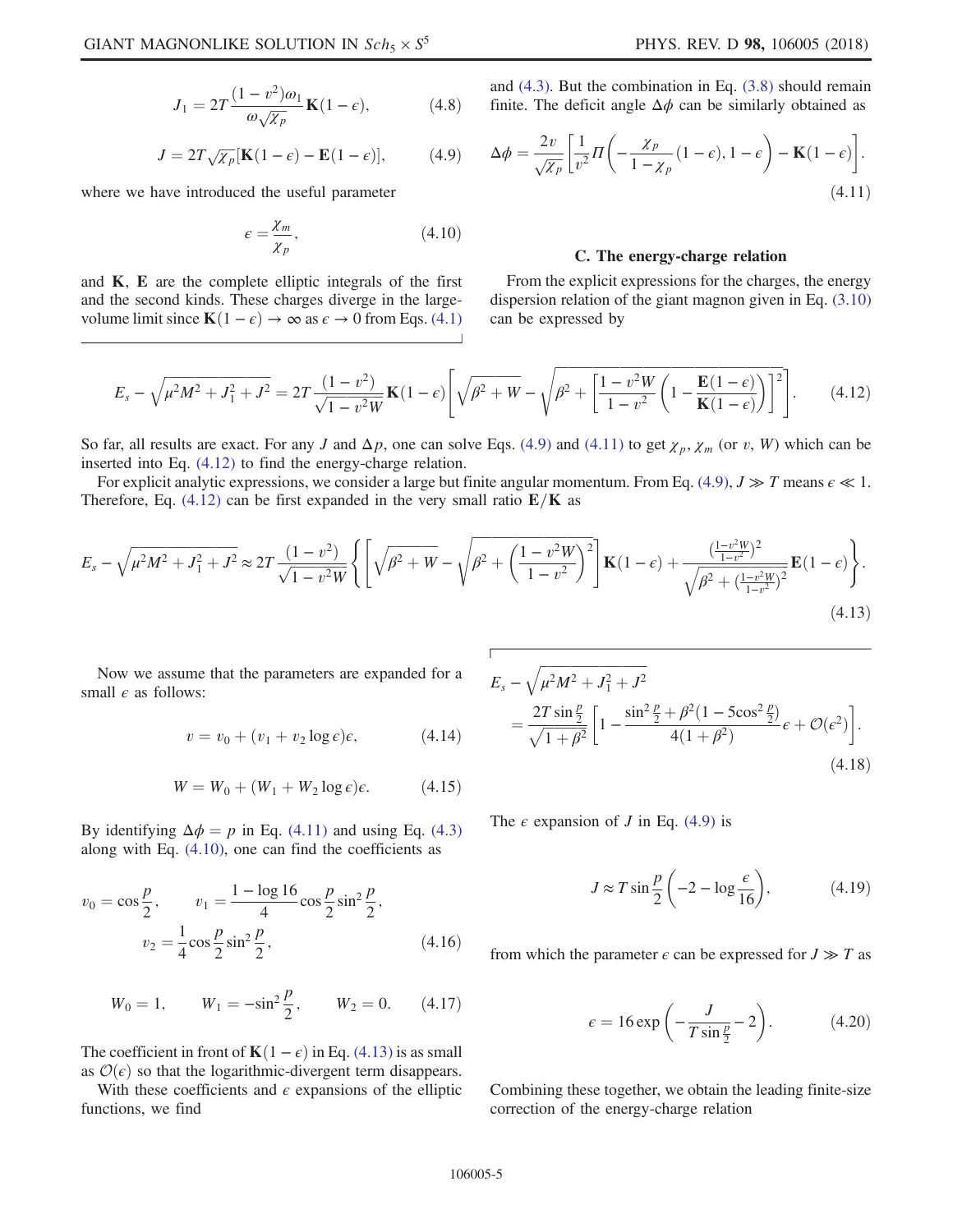$$
J_1 = 2T \frac{(1 - v^2)\omega_1}{\omega \sqrt{\chi_p}} \mathbf{K}(1 - \epsilon), \tag{4.8}
$$

$$
J = 2T\sqrt{\chi_p}[\mathbf{K}(1-\epsilon) - \mathbf{E}(1-\epsilon)],\tag{4.9}
$$

<span id="page-4-3"></span><span id="page-4-0"></span>where we have introduced the useful parameter

$$
\epsilon = \frac{\chi_m}{\chi_p},\tag{4.10}
$$

<span id="page-4-2"></span>and  $K$ ,  $E$  are the complete elliptic integrals of the first and the second kinds. These charges diverge in the largevolume limit since  $\mathbf{K}(1 - \epsilon) \to \infty$  as  $\epsilon \to 0$  from Eqs. [\(4.1\)](#page-3-3) <span id="page-4-1"></span>and [\(4.3\)](#page-3-4). But the combination in Eq. [\(3.8\)](#page-2-7) should remain finite. The deficit angle  $\Delta \phi$  can be similarly obtained as

$$
\Delta \phi = \frac{2v}{\sqrt{\chi_p}} \left[ \frac{1}{v^2} \Pi \left( -\frac{\chi_p}{1 - \chi_p} (1 - \epsilon), 1 - \epsilon \right) - \mathbf{K} (1 - \epsilon) \right].
$$
\n(4.11)

### C. The energy-charge relation

From the explicit expressions for the charges, the energy dispersion relation of the giant magnon given in Eq. [\(3.10\)](#page-3-5) can be expressed by

$$
E_s - \sqrt{\mu^2 M^2 + J_1^2 + J^2} = 2T \frac{(1 - v^2)}{\sqrt{1 - v^2 W}} \mathbf{K} (1 - \epsilon) \left[ \sqrt{\beta^2 + W} - \sqrt{\beta^2 + \left[ \frac{1 - v^2 W}{1 - v^2} \left( 1 - \frac{\mathbf{E} (1 - \epsilon)}{\mathbf{K} (1 - \epsilon)} \right) \right]^2} \right].
$$
 (4.12)

So far, all results are exact. For any J and  $\Delta p$ , one can solve Eqs. [\(4.9\)](#page-4-0) and [\(4.11\)](#page-4-1) to get  $\chi_p$ ,  $\chi_m$  (or v, W) which can be inserted into Eq. [\(4.12\)](#page-4-2) to find the energy-charge relation.

<span id="page-4-4"></span>For explicit analytic expressions, we consider a large but finite angular momentum. From Eq. [\(4.9\)](#page-4-0),  $J \gg T$  means  $\epsilon \ll 1$ . Therefore, Eq. [\(4.12\)](#page-4-2) can be first expanded in the very small ratio  $E/K$  as

$$
E_s - \sqrt{\mu^2 M^2 + J_1^2 + J^2} \approx 2T \frac{(1 - v^2)}{\sqrt{1 - v^2 W}} \left\{ \left[ \sqrt{\beta^2 + W} - \sqrt{\beta^2 + \left( \frac{1 - v^2 W}{1 - v^2} \right)^2} \right] \mathbf{K} (1 - \epsilon) + \frac{\left( \frac{1 - v^2 W}{1 - v^2} \right)^2}{\sqrt{\beta^2 + \left( \frac{1 - v^2 W}{1 - v^2} \right)^2}} \mathbf{E} (1 - \epsilon) \right\}.
$$
\n(4.13)

Now we assume that the parameters are expanded for a small  $\epsilon$  as follows:

$$
v = v_0 + (v_1 + v_2 \log \epsilon)\epsilon, \tag{4.14}
$$

$$
W = W_0 + (W_1 + W_2 \log \epsilon)\epsilon. \tag{4.15}
$$

By identifying  $\Delta \phi = p$  in Eq. [\(4.11\)](#page-4-1) and using Eq. [\(4.3\)](#page-3-4) along with Eq.  $(4.10)$ , one can find the coefficients as

$$
v_0 = \cos\frac{p}{2}, \qquad v_1 = \frac{1 - \log 16}{4} \cos\frac{p}{2} \sin^2\frac{p}{2},
$$

$$
v_2 = \frac{1}{4} \cos\frac{p}{2} \sin^2\frac{p}{2}, \qquad (4.16)
$$

$$
W_0 = 1,
$$
  $W_1 = -\sin^2 \frac{p}{2},$   $W_2 = 0.$  (4.17)

The coefficient in front of  $\mathbf{K}(1 - \epsilon)$  in Eq. [\(4.13\)](#page-4-4) is as small as  $\mathcal{O}(\epsilon)$  so that the logarithmic-divergent term disappears.

With these coefficients and  $\epsilon$  expansions of the elliptic functions, we find

$$
E_s - \sqrt{\mu^2 M^2 + J_1^2 + J^2}
$$
  
= 
$$
\frac{2T \sin \frac{p}{2}}{\sqrt{1 + \beta^2}} \left[ 1 - \frac{\sin^2 \frac{p}{2} + \beta^2 (1 - 5\cos^2 \frac{p}{2})}{4(1 + \beta^2)} \epsilon + \mathcal{O}(\epsilon^2) \right].
$$
 (4.18)

<span id="page-4-5"></span>The  $\epsilon$  expansion of *J* in Eq. [\(4.9\)](#page-4-0) is

$$
J \approx T \sin \frac{p}{2} \left( -2 - \log \frac{\epsilon}{16} \right), \tag{4.19}
$$

from which the parameter  $\epsilon$  can be expressed for  $J \gg T$  as

$$
\epsilon = 16 \exp\left(-\frac{J}{T\sin\frac{p}{2}} - 2\right). \tag{4.20}
$$

Combining these together, we obtain the leading finite-size correction of the energy-charge relation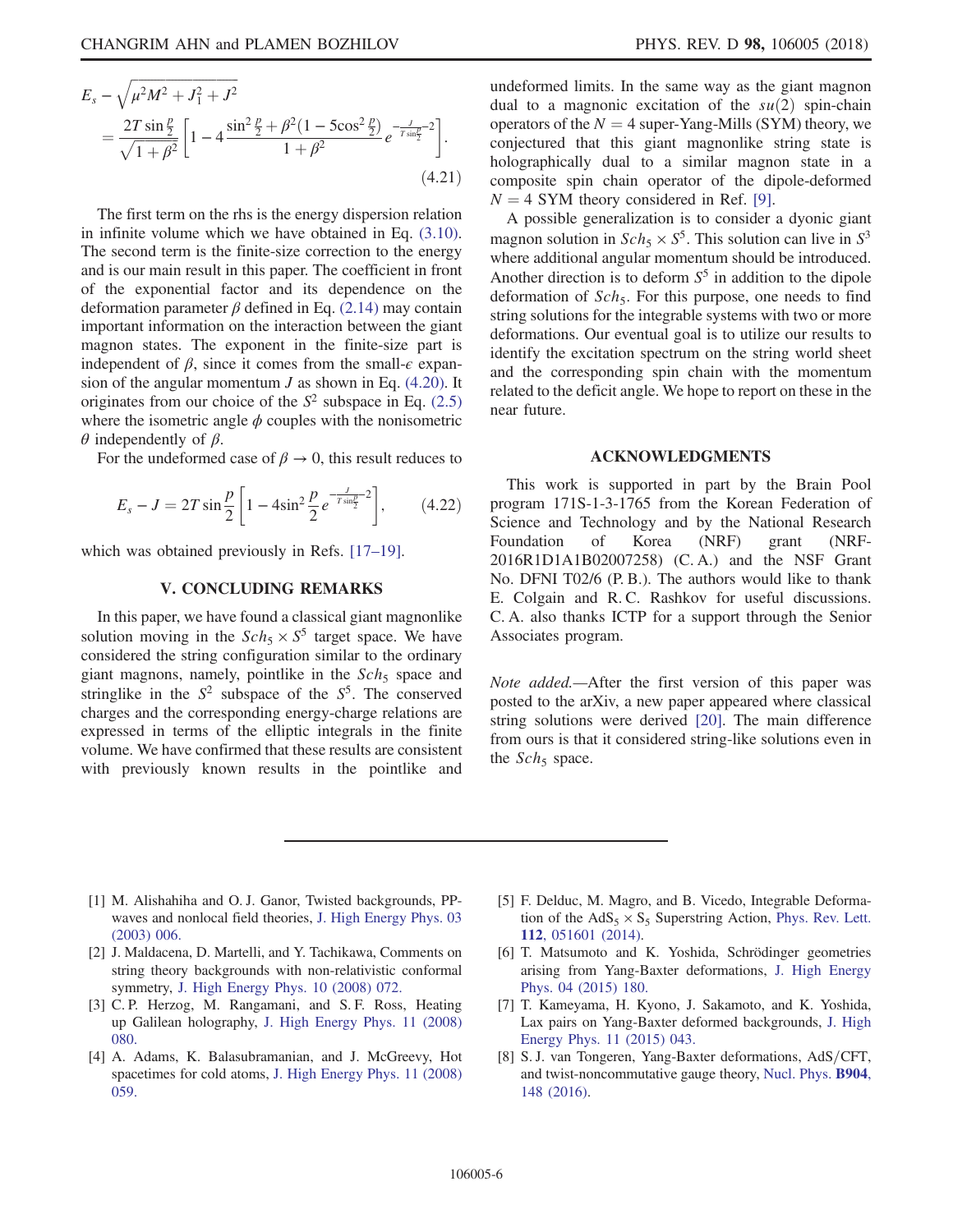$$
E_s - \sqrt{\mu^2 M^2 + J_1^2 + J^2}
$$
  
= 
$$
\frac{2T \sin \frac{p}{2}}{\sqrt{1 + \beta^2}} \left[ 1 - 4 \frac{\sin^2 \frac{p}{2} + \beta^2 (1 - 5 \cos^2 \frac{p}{2})}{1 + \beta^2} e^{-\frac{J}{T \sin \frac{p}{2}} - 2} \right].
$$
 (4.21)

The first term on the rhs is the energy dispersion relation in infinite volume which we have obtained in Eq. [\(3.10\)](#page-3-5). The second term is the finite-size correction to the energy and is our main result in this paper. The coefficient in front of the exponential factor and its dependence on the deformation parameter  $\beta$  defined in Eq. [\(2.14\)](#page-1-7) may contain important information on the interaction between the giant magnon states. The exponent in the finite-size part is independent of  $\beta$ , since it comes from the small- $\epsilon$  expansion of the angular momentum  $J$  as shown in Eq. [\(4.20\)](#page-4-5). It originates from our choice of the  $S^2$  subspace in Eq. [\(2.5\)](#page-1-8) where the isometric angle  $\phi$  couples with the nonisometric  $θ$  independently of  $β$ .

For the undeformed case of  $\beta \to 0$ , this result reduces to

$$
E_s - J = 2T \sin \frac{p}{2} \left[ 1 - 4 \sin^2 \frac{p}{2} e^{-\frac{J}{T \sin \frac{p}{2}} - 2} \right],
$$
 (4.22)

<span id="page-5-4"></span>which was obtained previously in Refs. [17–[19\].](#page-6-7)

# V. CONCLUDING REMARKS

In this paper, we have found a classical giant magnonlike solution moving in the  $Sch_5 \times S^5$  target space. We have considered the string configuration similar to the ordinary giant magnons, namely, pointlike in the  $Sch<sub>5</sub>$  space and stringlike in the  $S^2$  subspace of the  $S^5$ . The conserved charges and the corresponding energy-charge relations are expressed in terms of the elliptic integrals in the finite volume. We have confirmed that these results are consistent with previously known results in the pointlike and undeformed limits. In the same way as the giant magnon dual to a magnonic excitation of the  $su(2)$  spin-chain operators of the  $N = 4$  super-Yang-Mills (SYM) theory, we conjectured that this giant magnonlike string state is holographically dual to a similar magnon state in a composite spin chain operator of the dipole-deformed  $N = 4$  SYM theory considered in Ref. [\[9\].](#page-6-0)

A possible generalization is to consider a dyonic giant magnon solution in  $Sch_5 \times S^5$ . This solution can live in  $S^3$ where additional angular momentum should be introduced. Another direction is to deform  $S<sup>5</sup>$  in addition to the dipole deformation of  $Sch_5$ . For this purpose, one needs to find string solutions for the integrable systems with two or more deformations. Our eventual goal is to utilize our results to identify the excitation spectrum on the string world sheet and the corresponding spin chain with the momentum related to the deficit angle. We hope to report on these in the near future.

#### ACKNOWLEDGMENTS

This work is supported in part by the Brain Pool program 171S-1-3-1765 from the Korean Federation of Science and Technology and by the National Research Foundation of Korea (NRF) grant (NRF-2016R1D1A1B02007258) (C. A.) and the NSF Grant No. DFNI T02/6 (P. B.). The authors would like to thank E. Colgain and R. C. Rashkov for useful discussions. C. A. also thanks ICTP for a support through the Senior Associates program.

Note added.—After the first version of this paper was posted to the arXiv, a new paper appeared where classical string solutions were derived [\[20\]](#page-6-8). The main difference from ours is that it considered string-like solutions even in the  $Sch<sub>5</sub>$  space.

- <span id="page-5-0"></span>[1] M. Alishahiha and O. J. Ganor, Twisted backgrounds, PPwaves and nonlocal field theories, [J. High Energy Phys. 03](https://doi.org/10.1088/1126-6708/2003/03/006) [\(2003\) 006.](https://doi.org/10.1088/1126-6708/2003/03/006)
- [2] J. Maldacena, D. Martelli, and Y. Tachikawa, Comments on string theory backgrounds with non-relativistic conformal symmetry, [J. High Energy Phys. 10 \(2008\) 072.](https://doi.org/10.1088/1126-6708/2008/10/072)
- [3] C. P. Herzog, M. Rangamani, and S. F. Ross, Heating up Galilean holography, [J. High Energy Phys. 11 \(2008\)](https://doi.org/10.1088/1126-6708/2008/11/080) [080.](https://doi.org/10.1088/1126-6708/2008/11/080)
- [4] A. Adams, K. Balasubramanian, and J. McGreevy, Hot spacetimes for cold atoms, [J. High Energy Phys. 11 \(2008\)](https://doi.org/10.1088/1126-6708/2008/11/059) [059.](https://doi.org/10.1088/1126-6708/2008/11/059)
- <span id="page-5-1"></span>[5] F. Delduc, M. Magro, and B. Vicedo, Integrable Deformation of the  $AdS_5 \times S_5$  Superstring Action, [Phys. Rev. Lett.](https://doi.org/10.1103/PhysRevLett.112.051601) 112[, 051601 \(2014\).](https://doi.org/10.1103/PhysRevLett.112.051601)
- <span id="page-5-2"></span>[6] T. Matsumoto and K. Yoshida, Schrödinger geometries arising from Yang-Baxter deformations, [J. High Energy](https://doi.org/10.1007/JHEP04(2015)180) [Phys. 04 \(2015\) 180.](https://doi.org/10.1007/JHEP04(2015)180)
- [7] T. Kameyama, H. Kyono, J. Sakamoto, and K. Yoshida, Lax pairs on Yang-Baxter deformed backgrounds, [J. High](https://doi.org/10.1007/JHEP11(2015)043) [Energy Phys. 11 \(2015\) 043.](https://doi.org/10.1007/JHEP11(2015)043)
- <span id="page-5-3"></span>[8] S. J. van Tongeren, Yang-Baxter deformations, AdS/CFT, and twist-noncommutative gauge theory, [Nucl. Phys.](https://doi.org/10.1016/j.nuclphysb.2016.01.012) B904, [148 \(2016\)](https://doi.org/10.1016/j.nuclphysb.2016.01.012).